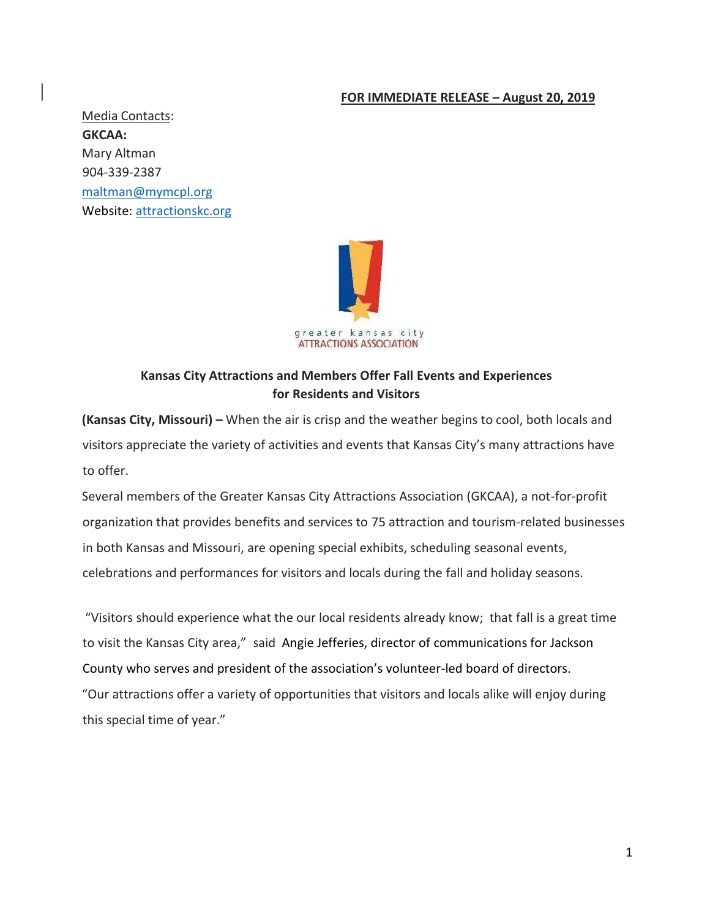#### **FOR IMMEDIATE RELEASE – August 20, 2019**

Media Contacts: **GKCAA:**  Mary Altman 904-339-2387 maltman@mymcpl.org Website: [attractionskc.org](http://attractionskc.org/)



# **Kansas City Attractions and Members Offer Fall Events and Experiences for Residents and Visitors**

**(Kansas City, Missouri) –** When the air is crisp and the weather begins to cool, both locals and visitors appreciate the variety of activities and events that Kansas City's many attractions have to offer.

Several members of the Greater Kansas City Attractions Association (GKCAA), a not-for-profit organization that provides benefits and services to 75 attraction and tourism-related businesses in both Kansas and Missouri, are opening special exhibits, scheduling seasonal events, celebrations and performances for visitors and locals during the fall and holiday seasons.

"Visitors should experience what the our local residents already know; that fall is a great time to visit the Kansas City area," said Angie Jefferies, director of communications for Jackson County who serves and president of the association's volunteer-led board of directors. "Our attractions offer a variety of opportunities that visitors and locals alike will enjoy during this special time of year."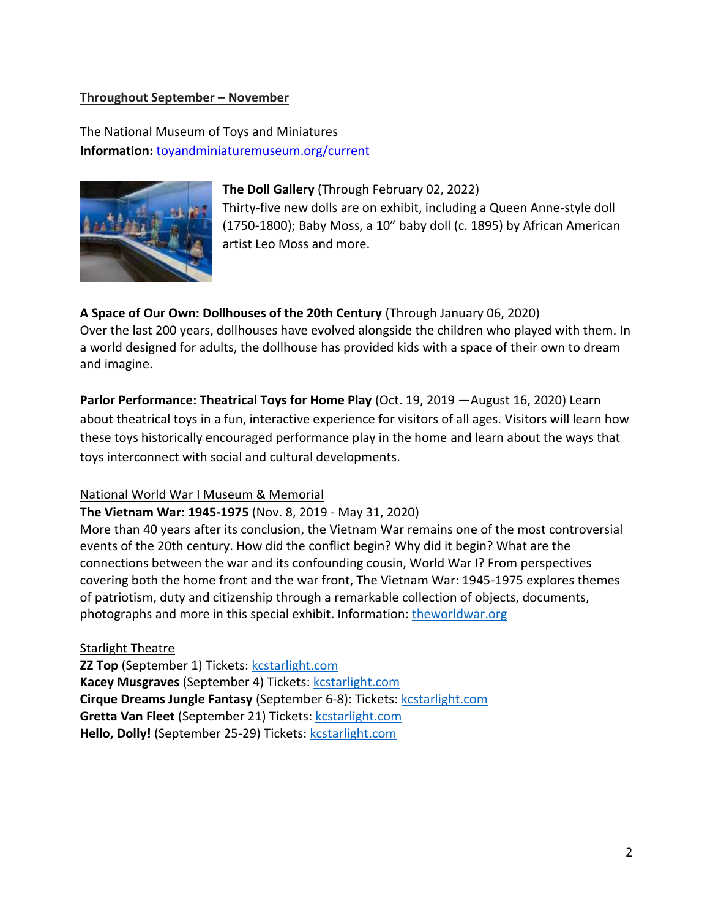#### **Throughout September – November**

The National Museum of Toys and Miniatures **Information:** [toyandminiaturemuseum.org/current](https://toyandminiaturemuseum.org/current/)



**The Doll Gallery** (Through February 02, 2022) Thirty-five new dolls are on exhibit, including a Queen Anne-style doll (1750-1800); Baby Moss, a 10" baby doll (c. 1895) by African American artist Leo Moss and more.

#### **A Space of Our Own: Dollhouses of the 20th Century** (Through January 06, 2020)

Over the last 200 years, dollhouses have evolved alongside the children who played with them. In a world designed for adults, the dollhouse has provided kids with a space of their own to dream and imagine.

**Parlor Performance: Theatrical Toys for Home Play** (Oct. 19, 2019 —August 16, 2020) Learn about theatrical toys in a fun, interactive experience for visitors of all ages. Visitors will learn how these toys historically encouraged performance play in the home and learn about the ways that toys interconnect with social and cultural developments.

#### National World War I Museum & Memorial

**The Vietnam War: 1945-1975** (Nov. 8, 2019 - May 31, 2020) More than 40 years after its conclusion, the Vietnam War remains one of the most controversial events of the 20th century. How did the conflict begin? Why did it begin? What are the connections between the war and its confounding cousin, World War I? From perspectives covering both the home front and the war front, The Vietnam War: 1945-1975 explores themes of patriotism, duty and citizenship through a remarkable collection of objects, documents,

# Starlight Theatre

**ZZ Top** (September 1) Tickets: [kcstarlight.com](https://tickets.kcstarlight.com/single/psDetail.aspx?psn=2992&tnewq=ca8786a3-4bcf-4617-a4d4-5a48fa56f98f&tnewp=ab5937c9-9e99-4cdd-8912-c898ce91692c&tnewts=1565738087&tnewc=kcstarlight&tnewe=062119&tnewrt=Safetynet&tnewh=cd1e971710b69f5aec129b7362562f69) Kacey Musgraves (September 4) Tickets: [kcstarlight.com](https://tickets.kcstarlight.com/single/psDetail.aspx?psn=2908) **Cirque Dreams Jungle Fantasy** (September 6-8): Tickets: [kcstarlight.com](https://tickets.kcstarlight.com/single/psDetail.aspx?psn=2710) Gretta Van Fleet (September 21) Tickets: [kcstarlight.com](https://tickets.kcstarlight.com/single/psDetail.aspx?psn=3003) Hello, Dolly! (September 25-29) Tickets: [kcstarlight.com](https://tickets.kcstarlight.com/single/psDetail.aspx?psn=2707)

photographs and more in this special exhibit. Information: [theworldwar.org](https://www.theworldwar.org/)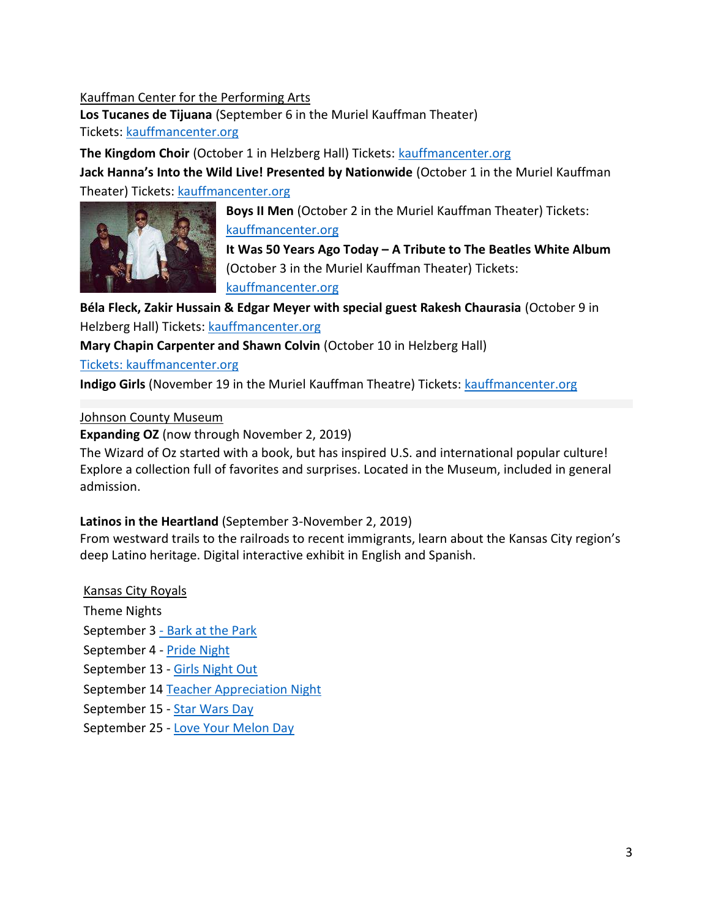### Kauffman Center for the Performing Arts

**Los Tucanes de Tijuana** (September 6 in the Muriel Kauffman Theater) Tickets[: kauffmancenter.org](https://tickets.kauffmancenter.org/tucanes)

**The Kingdom Choir** (October 1 in Helzberg Hall) Tickets: **kauffmancenter.org Jack Hanna's Into the Wild Live! Presented by Nationwide** (October 1 in the Muriel Kauffman Theater) Tickets: [kauffmancenter.org](https://tickets.kauffmancenter.org/jackhanna)



**Boys II Men** (October 2 in the Muriel Kauffman Theater) Tickets: [kauffmancenter.org](https://tickets.kauffmancenter.org/boyziimen) **It Was 50 Years Ago Today – A Tribute to The Beatles White Album**

(October 3 in the Muriel Kauffman Theater) Tickets:

[kauffmancenter.org](https://tickets.kauffmancenter.org/whitealbum)

**Béla Fleck, Zakir Hussain & Edgar Meyer with special guest Rakesh Chaurasia** (October 9 in Helzberg Hall) Tickets: [kauffmancenter.org](https://tickets.kauffmancenter.org/belafleck)

**Mary Chapin Carpenter and Shawn Colvin** (October 10 in Helzberg Hall)

[Tickets: kauffmancenter.org](https://tickets.kauffmancenter.org/carpenter)

**Indigo Girls** (November 19 in the Muriel Kauffman Theatre) Tickets: [kauffmancenter.org](https://tickets.kauffmancenter.org/indigo)

## Johnson County Museum

**Expanding OZ** (now through November 2, 2019)

The Wizard of Oz started with a book, but has inspired U.S. and international popular culture! Explore a collection full of favorites and surprises. Located in the Museum, included in general admission.

# **Latinos in the Heartland** (September 3-November 2, 2019)

From westward trails to the railroads to recent immigrants, learn about the Kansas City region's deep Latino heritage. Digital interactive exhibit in English and Spanish.

Kansas City Royals Theme Nights September 3 - Bark at the Park September 4 - [Pride Night](https://www.mlb.com/royals/tickets/specials/pride?affiliateId=tdl-Kansas_City_Royals-tickets-Kansas_City_Royals:_Tickets:_Royals_Promotional_Tickets-single_game_tickets-promo_theme_ticket-Desktop-Portrait) September 13 - [Girls Night Out](https://www.mlb.com/royals/tickets/specials/girls-night-out?affiliateId=tdl-Kansas_City_Royals-tickets-Kansas_City_Royals:_Tickets:_Royals_Promotional_Tickets-single_game_tickets-promo_theme_ticket-Desktop-Portrait) September 14 [Teacher Appreciation Night](https://www.mlb.com/royals/tickets/specials/teacher-appreciation?affiliateId=tdl-Kansas_City_Royals-tickets-Kansas_City_Royals:_Tickets:_Royals_Promotional_Tickets-single_game_tickets-promo_theme_ticket-Desktop-Portrait) September 15 - [Star Wars Day](https://www.mlb.com/royals/tickets/specials/star-wars?affiliateId=tdl-Kansas_City_Royals-tickets-Kansas_City_Royals:_Tickets:_Royals_Promotional_Tickets-single_game_tickets-promo_theme_ticket-Desktop-Portrait)

September 25 - [Love Your Melon Day](https://www.mlb.com/royals/tickets/specials/love-your-melon?affiliateId=tdl-Kansas_City_Royals-tickets-Kansas_City_Royals:_Tickets:_Royals_Promotional_Tickets-single_game_tickets-promo_theme_ticket-Desktop-Portrait)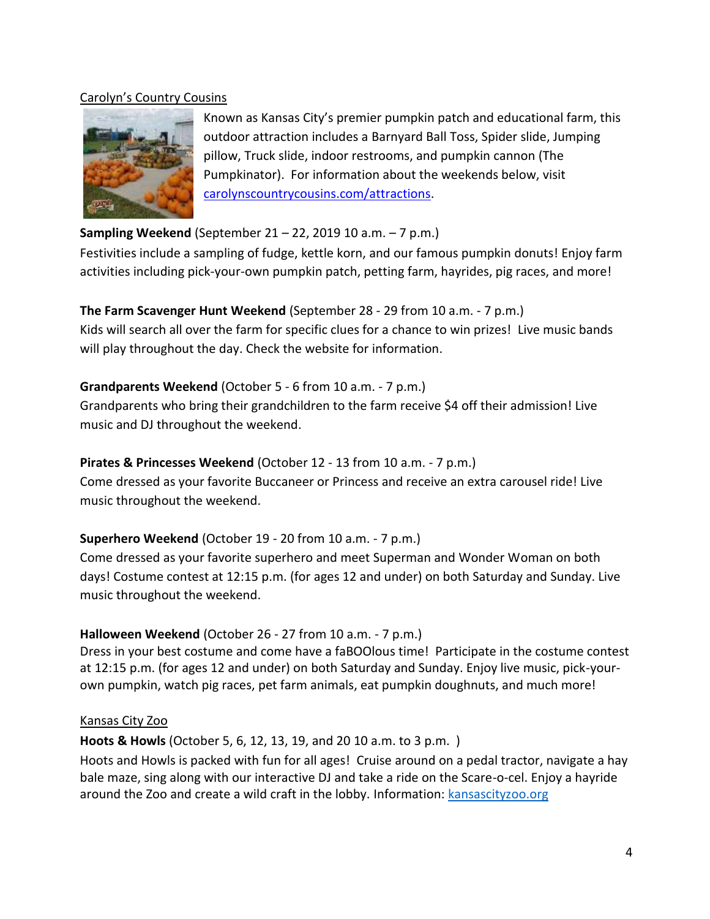#### Carolyn's Country Cousins



Known as Kansas City's premier pumpkin patch and educational farm, this outdoor attraction includes a Barnyard Ball Toss, Spider slide, Jumping pillow, Truck slide, indoor restrooms, and pumpkin cannon (The Pumpkinator). For information about the weekends below, visit [carolynscountrycousins.com/attractions.](http://www.carolynscountrycousins.com/attractions)

# **Sampling Weekend** (September 21 – 22, 2019 10 a.m. – 7 p.m.)

Festivities include a sampling of fudge, kettle korn, and our famous pumpkin donuts! Enjoy farm activities including pick-your-own pumpkin patch, petting farm, hayrides, pig races, and more!

# **The Farm Scavenger Hunt Weekend** (September 28 - 29 from 10 a.m. - 7 p.m.)

Kids will search all over the farm for specific clues for a chance to win prizes! Live music bands will play throughout the day. Check the website for information.

## **Grandparents Weekend** (October 5 - 6 from 10 a.m. - 7 p.m.)

Grandparents who bring their grandchildren to the farm receive \$4 off their admission! Live music and DJ throughout the weekend.

# **Pirates & Princesses Weekend** (October 12 - 13 from 10 a.m. - 7 p.m.)

Come dressed as your favorite Buccaneer or Princess and receive an extra carousel ride! Live music throughout the weekend.

# **Superhero Weekend** (October 19 - 20 from 10 a.m. - 7 p.m.)

Come dressed as your favorite superhero and meet Superman and Wonder Woman on both days! Costume contest at 12:15 p.m. (for ages 12 and under) on both Saturday and Sunday. Live music throughout the weekend.

# **Halloween Weekend** (October 26 - 27 from 10 a.m. - 7 p.m.)

Dress in your best costume and come have a faBOOlous time! Participate in the costume contest at 12:15 p.m. (for ages 12 and under) on both Saturday and Sunday. Enjoy live music, pick-yourown pumpkin, watch pig races, pet farm animals, eat pumpkin doughnuts, and much more!

### Kansas City Zoo

**Hoots & Howls** (October 5, 6, 12, 13, 19, and 20 10 a.m. to 3 p.m. )

Hoots and Howls is packed with fun for all ages! Cruise around on a pedal tractor, navigate a hay bale maze, sing along with our interactive DJ and take a ride on the Scare-o-cel. Enjoy a hayride around the Zoo and create a wild craft in the lobby. Information: [kansascityzoo.org](https://www.kansascityzoo.org/events/hoots-and-howls/)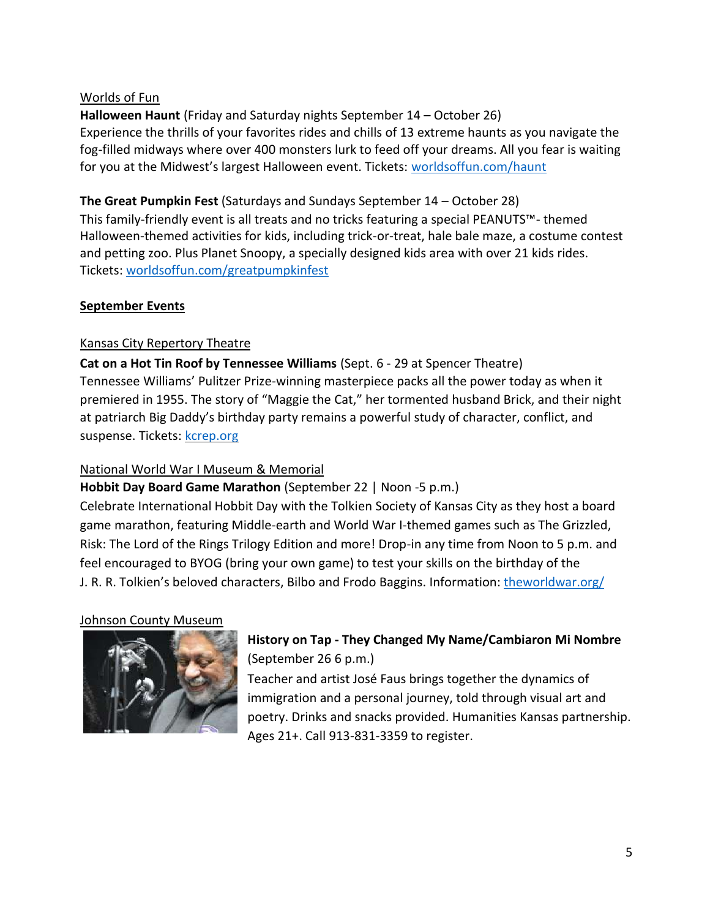#### Worlds of Fun

**Halloween Haunt** (Friday and Saturday nights September 14 – October 26) Experience the thrills of your favorites rides and chills of 13 extreme haunts as you navigate the fog-filled midways where over 400 monsters lurk to feed off your dreams. All you fear is waiting for you at the Midwest's largest Halloween event. Tickets: [worldsoffun.com/haunt](https://www.worldsoffun.com/play/haunt)

**The Great Pumpkin Fest** (Saturdays and Sundays September 14 – October 28) This family-friendly event is all treats and no tricks featuring a special PEANUTS™- themed Halloween-themed activities for kids, including trick-or-treat, hale bale maze, a costume contest and petting zoo. Plus Planet Snoopy, a specially designed kids area with over 21 kids rides. Tickets[: worldsoffun.com/greatpumpkinfest](https://www.worldsoffun.com/play/great-pumpkin-fest)

## **September Events**

## Kansas City Repertory Theatre

**Cat on a Hot Tin Roof by Tennessee Williams** (Sept. 6 - 29 at Spencer Theatre) Tennessee Williams' Pulitzer Prize-winning masterpiece packs all the power today as when it premiered in 1955. The story of "Maggie the Cat," her tormented husband Brick, and their night at patriarch Big Daddy's birthday party remains a powerful study of character, conflict, and suspense. Tickets: kcrep.org

### National World War I Museum & Memorial

# **Hobbit Day Board Game Marathon** (September 22 | Noon -5 p.m.)

Celebrate International Hobbit Day with the Tolkien Society of Kansas City as they host a board game marathon, featuring Middle-earth and World War I-themed games such as The Grizzled, Risk: The Lord of the Rings Trilogy Edition and more! Drop-in any time from Noon to 5 p.m. and feel encouraged to BYOG (bring your own game) to test your skills on the birthday of the J. R. R. Tolkien's beloved characters, Bilbo and Frodo Baggins. Information: [theworldwar.org/](https://www.theworldwar.org/)

### Johnson County Museum



# **History on Tap - They Changed My Name/Cambiaron Mi Nombre** (September 26 6 p.m.)

Teacher and artist José Faus brings together the dynamics of immigration and a personal journey, told through visual art and poetry. Drinks and snacks provided. Humanities Kansas partnership. Ages 21+. Call 913-831-3359 to register.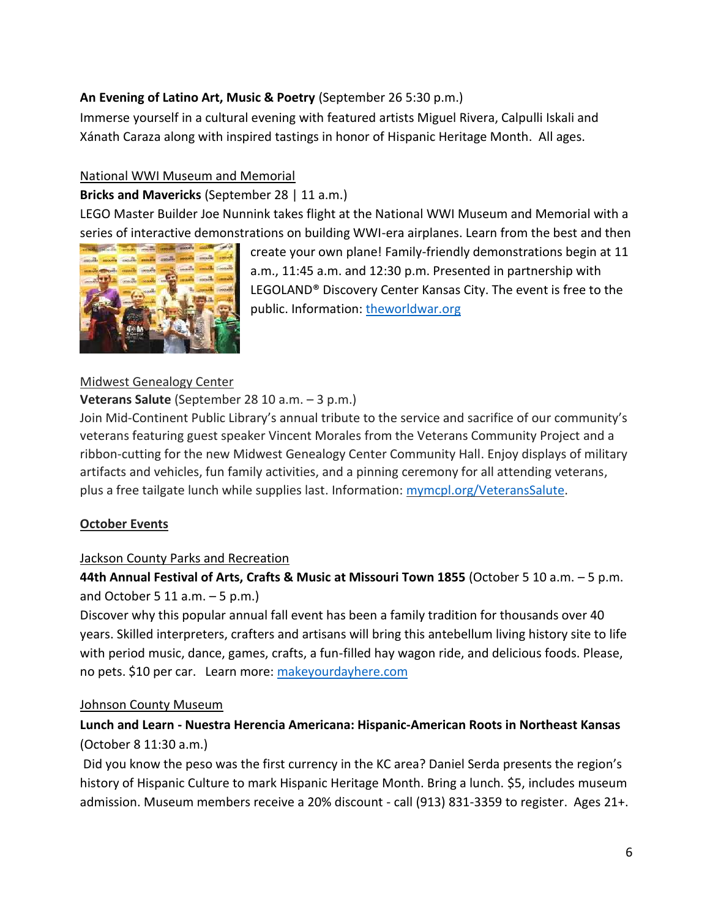## **An Evening of Latino Art, Music & Poetry** (September 26 5:30 p.m.)

Immerse yourself in a cultural evening with featured artists Miguel Rivera, Calpulli Iskali and Xánath Caraza along with inspired tastings in honor of Hispanic Heritage Month. All ages.

### National WWI Museum and Memorial

## **Bricks and Mavericks** (September 28 | 11 a.m.)

LEGO Master Builder Joe Nunnink takes flight at the National WWI Museum and Memorial with a series of interactive demonstrations on building WWI-era airplanes. Learn from the best and then



create your own plane! Family-friendly demonstrations begin at 11 a.m., 11:45 a.m. and 12:30 p.m. Presented in partnership with LEGOLAND® Discovery Center Kansas City. The event is free to the public. Information: [theworldwar.org](https://www.theworldwar.org/)

## Midwest Genealogy Center

### **Veterans Salute** (September 28 10 a.m. – 3 p.m.)

Join Mid-Continent Public Library's annual tribute to the service and sacrifice of our community's veterans featuring guest speaker Vincent Morales from the Veterans Community Project and a ribbon-cutting for the new Midwest Genealogy Center Community Hall. Enjoy displays of military artifacts and vehicles, fun family activities, and a pinning ceremony for all attending veterans, plus a free tailgate lunch while supplies last. Information: [mymcpl.org/VeteransSalute.](https://www.mymcpl.org/events/veterans-salute)

### **October Events**

### Jackson County Parks and Recreation

**44th Annual Festival of Arts, Crafts & Music at Missouri Town 1855** (October 5 10 a.m. – 5 p.m. and October 5 11 a.m.  $-5$  p.m.)

Discover why this popular annual fall event has been a family tradition for thousands over 40 years. Skilled interpreters, crafters and artisans will bring this antebellum living history site to life with period music, dance, games, crafts, a fun-filled hay wagon ride, and delicious foods. Please, no pets. \$10 per car. Learn more: [makeyourdayhere.com](https://www.makeyourdayhere.com/Calendar.aspx?EID=261&month=10&year=2019&day=19&calType=0)

### Johnson County Museum

# **Lunch and Learn - Nuestra Herencia Americana: Hispanic-American Roots in Northeast Kansas** (October 8 11:30 a.m.)

Did you know the peso was the first currency in the KC area? Daniel Serda presents the region's history of Hispanic Culture to mark Hispanic Heritage Month. Bring a lunch. \$5, includes museum admission. Museum members receive a 20% discount - call (913) 831-3359 to register. Ages 21+.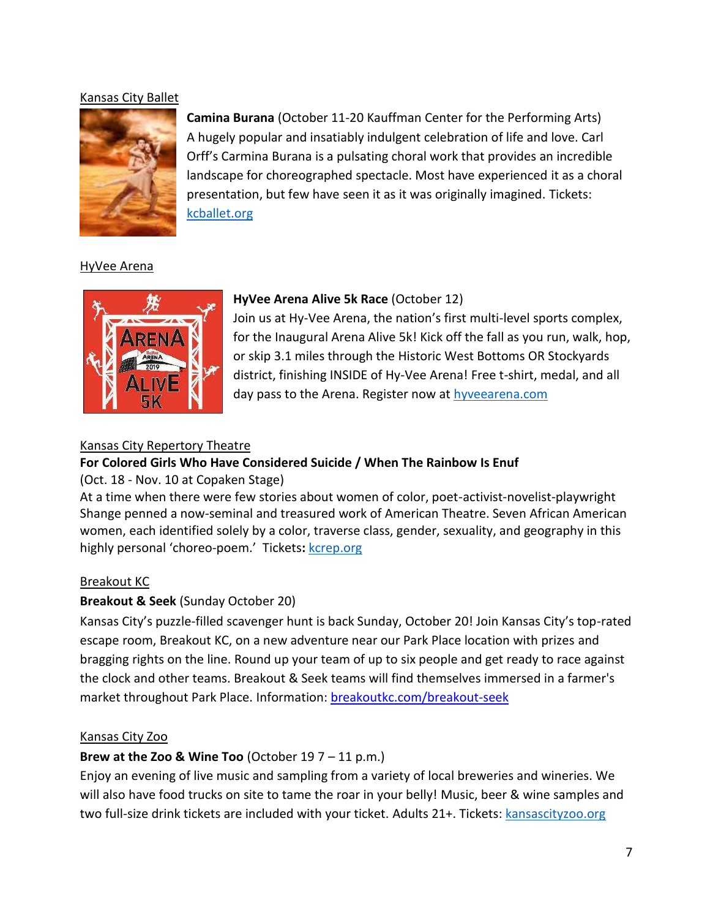#### Kansas City Ballet



**Camina Burana** (October 11-20 Kauffman Center for the Performing Arts) A hugely popular and insatiably indulgent celebration of life and love. Carl Orff's Carmina Burana is a pulsating choral work that provides an incredible landscape for choreographed spectacle. Most have experienced it as a choral presentation, but few have seen it as it was originally imagined. Tickets: [kcballet.org](https://www.kcballet.org/performances-tickets/2019-2020-season/carmina-burana/)

#### HyVee Arena



### **HyVee Arena Alive 5k Race** (October 12)

Join us at Hy-Vee Arena, the nation's first multi-level sports complex, for the Inaugural Arena Alive 5k! Kick off the fall as you run, walk, hop, or skip 3.1 miles through the Historic West Bottoms OR Stockyards district, finishing INSIDE of Hy-Vee Arena! Free t-shirt, medal, and all day pass to the Arena. Register now at [hyveearena.com](https://www.hyveearena.com/upcoming-events/arenaalive5k/)

#### Kansas City Repertory Theatre

### **For Colored Girls Who Have Considered Suicide / When The Rainbow Is Enuf**

#### (Oct. 18 - Nov. 10 at Copaken Stage)

At a time when there were few stories about women of color, poet-activist-novelist-playwright Shange penned a now-seminal and treasured work of American Theatre. Seven African American women, each identified solely by a color, traverse class, gender, sexuality, and geography in this highly personal 'choreo-poem.' Tickets**:** [kcrep.org](https://kcrep.org/)

#### Breakout KC

#### **Breakout & Seek** (Sunday October 20)

Kansas City's puzzle-filled scavenger hunt is back Sunday, October 20! Join Kansas City's top-rated escape room, Breakout KC, on a new adventure near our Park Place location with prizes and bragging rights on the line. Round up your team of up to six people and get ready to race against the clock and other teams. Breakout & Seek teams will find themselves immersed in a farmer's market throughout Park Place. [Information: breakoutkc.com/breakout-seek](https://breakoutkc.com/breakout-seek/)

#### Kansas City Zoo

#### **Brew at the Zoo & Wine Too** (October 19 7 – 11 p.m.)

Enjoy an evening of live music and sampling from a variety of local breweries and wineries. We will also have food trucks on site to tame the roar in your belly! Music, beer & wine samples and two full-size drink tickets are included with your ticket. Adults 21+. Tickets: [kansascityzoo.org](https://www.kansascityzoo.org/events/brew-zoo-wine/)